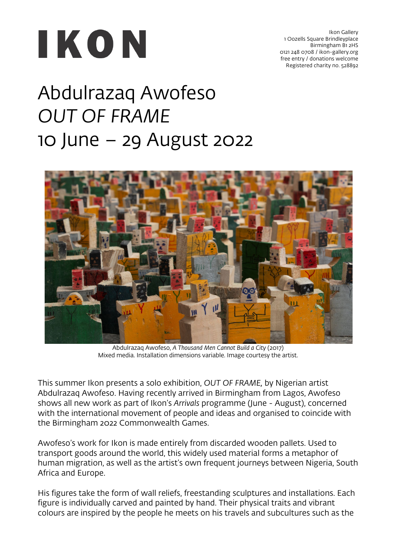

Ikon Gallery 1 Oozells Square Brindleyplace Birmingham B1 2HS 0121 248 0708 / ikon-gallery.org free entry / donations welcome Registered charity no. 528892

## Abdulrazaq Awofeso *OUT OF FRAME* 10 June – 29 August 2022



Abdulrazaq Awofeso, *A Thousand Men Cannot Build a City* (2017) Mixed media. Installation dimensions variable. Image courtesy the artist.

This summer Ikon presents a solo exhibition, *OUT OF FRAME,* by Nigerian artist Abdulrazaq Awofeso. Having recently arrived in Birmingham from Lagos, Awofeso shows all new work as part of Ikon's *Arrivals* programme (June - August), concerned with the international movement of people and ideas and organised to coincide with the Birmingham 2022 Commonwealth Games.

Awofeso's work for Ikon is made entirely from discarded wooden pallets. Used to transport goods around the world, this widely used material forms a metaphor of human migration, as well as the artist's own frequent journeys between Nigeria, South Africa and Europe.

His figures take the form of wall reliefs, freestanding sculptures and installations. Each figure is individually carved and painted by hand. Their physical traits and vibrant colours are inspired by the people he meets on his travels and subcultures such as the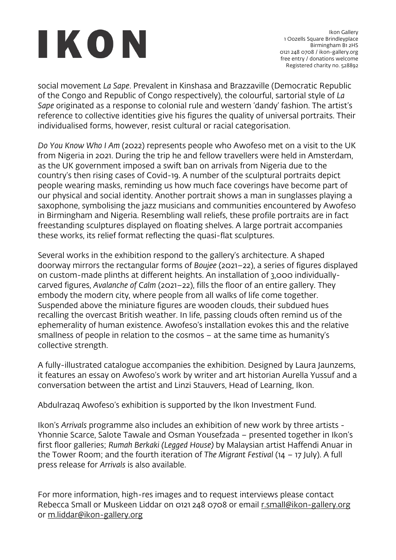## IKON

social movement *La Sape*. Prevalent in Kinshasa and Brazzaville (Democratic Republic of the Congo and Republic of Congo respectively), the colourful, sartorial style of *La Sape* originated as a response to colonial rule and western 'dandy' fashion. The artist's reference to collective identities give his figures the quality of universal portraits. Their individualised forms, however, resist cultural or racial categorisation.

*Do You Know Who I Am* (2022) represents people who Awofeso met on a visit to the UK from Nigeria in 2021. During the trip he and fellow travellers were held in Amsterdam, as the UK government imposed a swift ban on arrivals from Nigeria due to the country's then rising cases of Covid-19. A number of the sculptural portraits depict people wearing masks, reminding us how much face coverings have become part of our physical and social identity. Another portrait shows a man in sunglasses playing a saxophone, symbolising the jazz musicians and communities encountered by Awofeso in Birmingham and Nigeria. Resembling wall reliefs, these profile portraits are in fact freestanding sculptures displayed on floating shelves. A large portrait accompanies these works, its relief format reflecting the quasi-flat sculptures.

Several works in the exhibition respond to the gallery's architecture. A shaped doorway mirrors the rectangular forms of *Boujee* (2021–22), a series of figures displayed on custom-made plinths at different heights. An installation of 3,000 individuallycarved figures, *Avalanche of Calm* (2021–22), fills the floor of an entire gallery. They embody the modern city, where people from all walks of life come together. Suspended above the miniature figures are wooden clouds, their subdued hues recalling the overcast British weather. In life, passing clouds often remind us of the ephemerality of human existence. Awofeso's installation evokes this and the relative smallness of people in relation to the cosmos – at the same time as humanity's collective strength.

A fully-illustrated catalogue accompanies the exhibition. Designed by Laura Jaunzems, it features an essay on Awofeso's work by writer and art historian Aurella Yussuf and a conversation between the artist and Linzi Stauvers, Head of Learning, Ikon.

Abdulrazaq Awofeso's exhibition is supported by the Ikon Investment Fund.

Ikon's *Arrivals* programme also includes an exhibition of new work by three artists - Yhonnie Scarce, Salote Tawale and Osman Yousefzada – presented together in Ikon's first floor galleries; *Rumah Berkaki (Legged House)* by Malaysian artist Haffendi Anuar in the Tower Room; and the fourth iteration of *The Migrant Festival* (14 – 17 July). A full press release for *Arrivals* is also available.

For more information, high-res images and to request interviews please contact Rebecca Small or Muskeen Liddar on 0121 248 0708 or email r.small@ikon-gallery.org or m.liddar@ikon-gallery.org